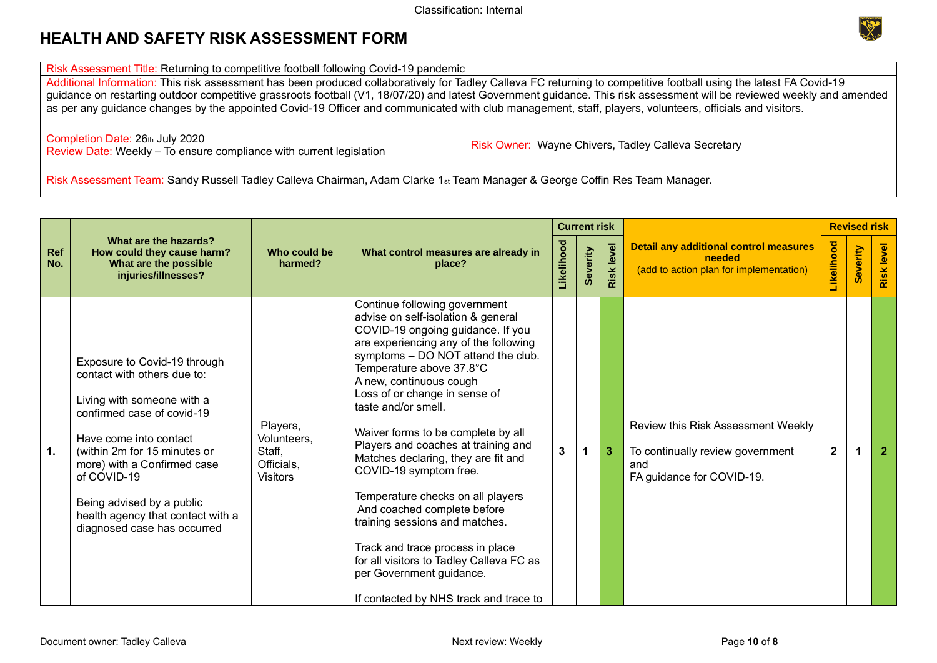

Risk Assessment Title: Returning to competitive football following Covid-19 pandemic

Additional Information: This risk assessment has been produced collaboratively for Tadley Calleva FC returning to competitive football using the latest FA Covid-19 guidance on restarting outdoor competitive grassroots football (V1, 18/07/20) and latest Government guidance. This risk assessment will be reviewed weekly and amended as per any guidance changes by the appointed Covid-19 Officer and communicated with club management, staff, players, volunteers, officials and visitors.

Completion Date: 26th July 2020 Completion Date: 26th July 2020<br>Review Date: Weekly – To ensure compliance with current legislation Risk Owner: Wayne Chivers, Tadley Calleva Secretary

Risk Assessment Team: Sandy Russell Tadley Calleva Chairman, Adam Clarke 1<sub>st</sub> Team Manager & George Coffin Res Team Manager.

|            |                                                                                                                                                                                                                                                                                                                                  |                                                                    |                                                                                                                                                                                                                                                                                                                                                                                                                                                                                                                                                                                                                                                                                                                  |   | <b>Current risk</b> |               |                                                                                                            |                | <b>Revised risk</b> |                   |
|------------|----------------------------------------------------------------------------------------------------------------------------------------------------------------------------------------------------------------------------------------------------------------------------------------------------------------------------------|--------------------------------------------------------------------|------------------------------------------------------------------------------------------------------------------------------------------------------------------------------------------------------------------------------------------------------------------------------------------------------------------------------------------------------------------------------------------------------------------------------------------------------------------------------------------------------------------------------------------------------------------------------------------------------------------------------------------------------------------------------------------------------------------|---|---------------------|---------------|------------------------------------------------------------------------------------------------------------|----------------|---------------------|-------------------|
| Ref<br>No. | What are the hazards?<br>How could they cause harm?<br>What are the possible<br>injuries/illnesses?                                                                                                                                                                                                                              | Who could be<br>harmed?                                            | What control measures are already in<br>place?                                                                                                                                                                                                                                                                                                                                                                                                                                                                                                                                                                                                                                                                   |   | everity             | level<br>Risk | <b>Detail any additional control measures</b><br>needed<br>(add to action plan for implementation)         |                | Severity            | <b>Risk level</b> |
| 1.         | Exposure to Covid-19 through<br>contact with others due to:<br>Living with someone with a<br>confirmed case of covid-19<br>Have come into contact<br>(within 2m for 15 minutes or<br>more) with a Confirmed case<br>of COVID-19<br>Being advised by a public<br>health agency that contact with a<br>diagnosed case has occurred | Players,<br>Volunteers,<br>Staff,<br>Officials,<br><b>Visitors</b> | Continue following government<br>advise on self-isolation & general<br>COVID-19 ongoing guidance. If you<br>are experiencing any of the following<br>symptoms - DO NOT attend the club.<br>Temperature above 37.8°C<br>A new, continuous cough<br>Loss of or change in sense of<br>taste and/or smell.<br>Waiver forms to be complete by all<br>Players and coaches at training and<br>Matches declaring, they are fit and<br>COVID-19 symptom free.<br>Temperature checks on all players<br>And coached complete before<br>training sessions and matches.<br>Track and trace process in place<br>for all visitors to Tadley Calleva FC as<br>per Government guidance.<br>If contacted by NHS track and trace to | 3 |                     | 3             | Review this Risk Assessment Weekly<br>To continually review government<br>and<br>FA guidance for COVID-19. | $\overline{2}$ |                     | $\overline{2}$    |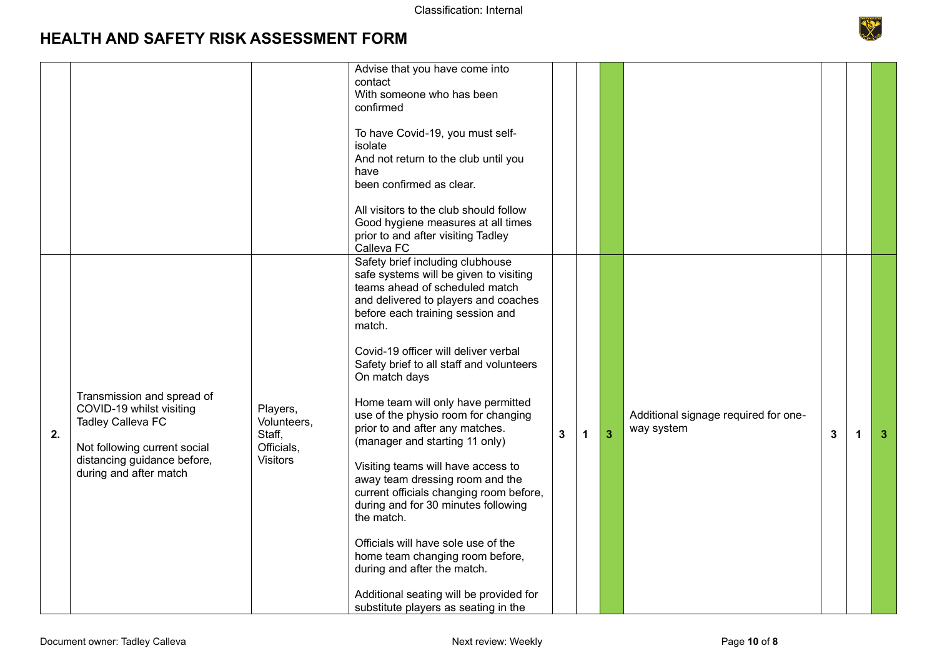

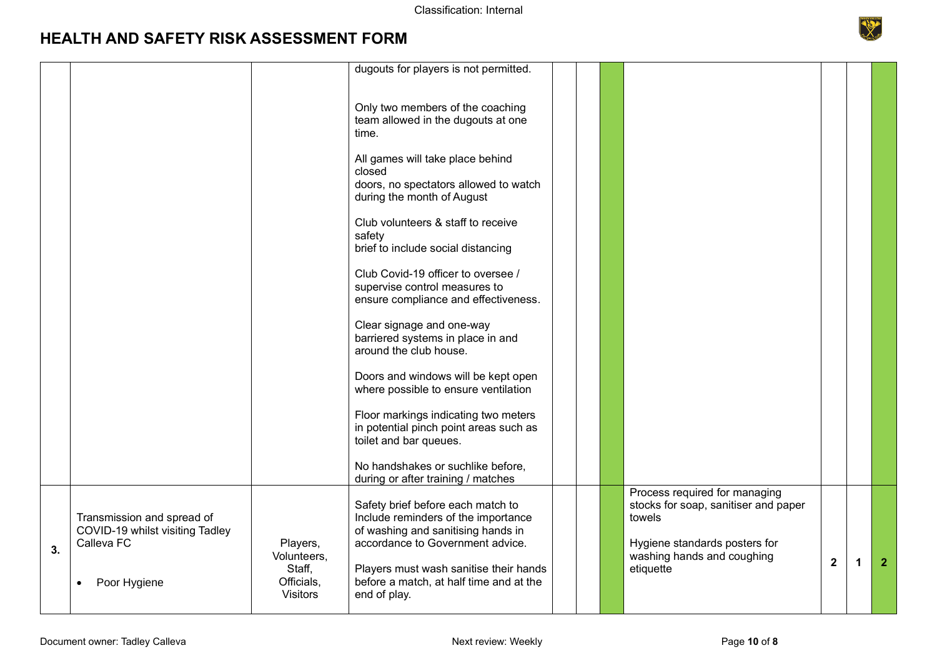

|                                                                                             |                                                                    | dugouts for players is not permitted.                                                                                                                                                                                                                   |                                                                     |                                                                                                                                                             |                |   |                |
|---------------------------------------------------------------------------------------------|--------------------------------------------------------------------|---------------------------------------------------------------------------------------------------------------------------------------------------------------------------------------------------------------------------------------------------------|---------------------------------------------------------------------|-------------------------------------------------------------------------------------------------------------------------------------------------------------|----------------|---|----------------|
|                                                                                             |                                                                    | Only two members of the coaching<br>team allowed in the dugouts at one<br>time.<br>All games will take place behind<br>closed<br>doors, no spectators allowed to watch<br>during the month of August                                                    |                                                                     |                                                                                                                                                             |                |   |                |
|                                                                                             |                                                                    | Club volunteers & staff to receive<br>safety<br>brief to include social distancing<br>Club Covid-19 officer to oversee /                                                                                                                                |                                                                     |                                                                                                                                                             |                |   |                |
|                                                                                             |                                                                    | ensure compliance and effectiveness.<br>Clear signage and one-way<br>barriered systems in place in and<br>around the club house.                                                                                                                        |                                                                     |                                                                                                                                                             |                |   |                |
|                                                                                             |                                                                    | Doors and windows will be kept open<br>where possible to ensure ventilation<br>Floor markings indicating two meters<br>in potential pinch point areas such as<br>toilet and bar queues.                                                                 |                                                                     |                                                                                                                                                             |                |   |                |
|                                                                                             |                                                                    | No handshakes or suchlike before,                                                                                                                                                                                                                       |                                                                     |                                                                                                                                                             |                |   |                |
| Transmission and spread of<br>COVID-19 whilst visiting Tadley<br>Calleva FC<br>Poor Hygiene | Players,<br>Volunteers,<br>Staff,<br>Officials,<br><b>Visitors</b> | Safety brief before each match to<br>Include reminders of the importance<br>of washing and sanitising hands in<br>accordance to Government advice.<br>Players must wash sanitise their hands<br>before a match, at half time and at the<br>end of play. |                                                                     | Process required for managing<br>stocks for soap, sanitiser and paper<br>towels<br>Hygiene standards posters for<br>washing hands and coughing<br>etiquette | $\overline{2}$ | 1 | $\overline{2}$ |
|                                                                                             |                                                                    |                                                                                                                                                                                                                                                         | supervise control measures to<br>during or after training / matches |                                                                                                                                                             |                |   |                |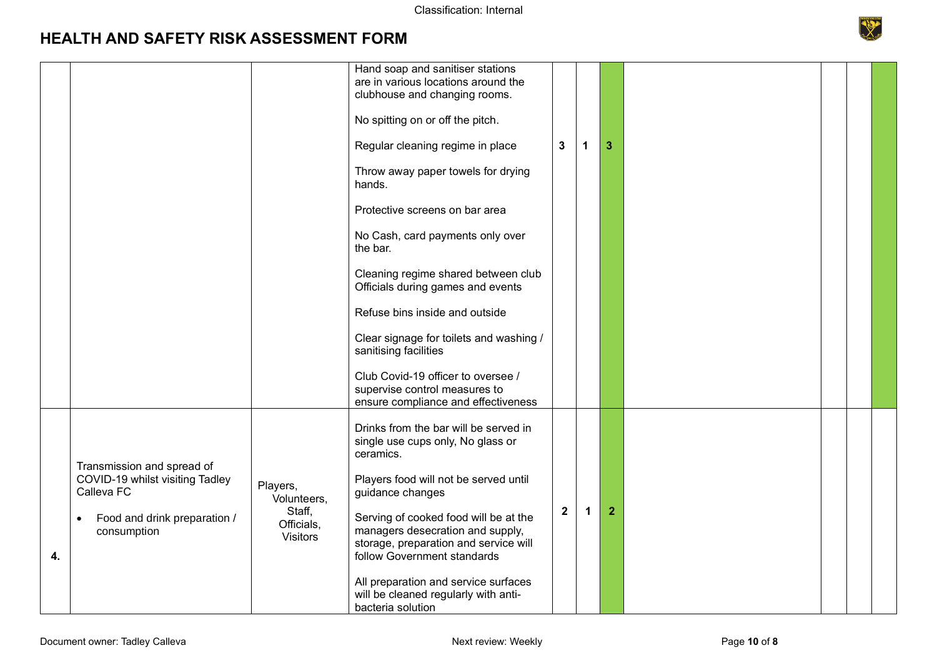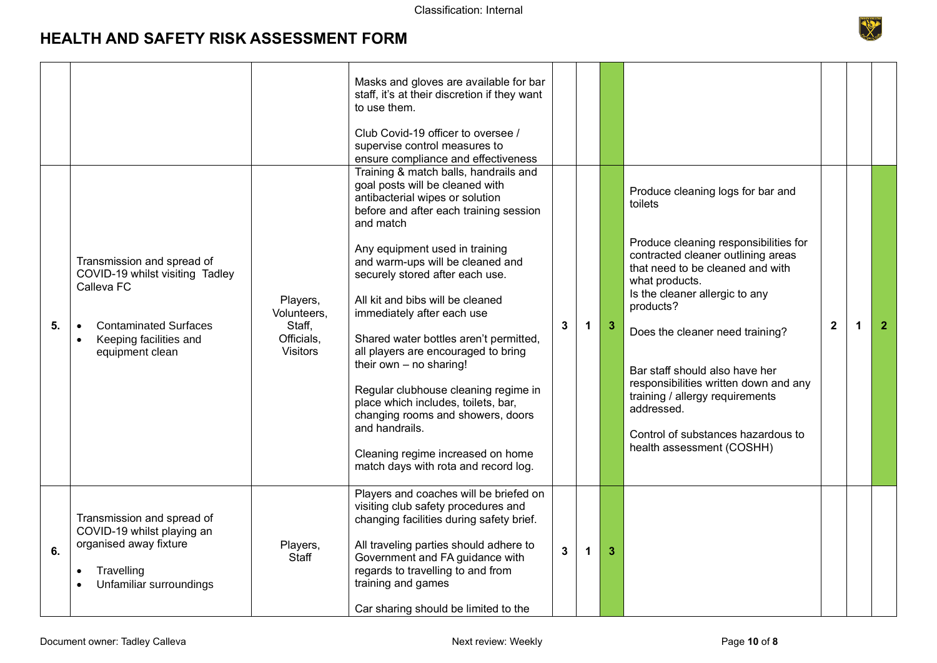

|    |                                                                                                                                                                                    |                                                                    | Masks and gloves are available for bar<br>staff, it's at their discretion if they want<br>to use them.<br>Club Covid-19 officer to oversee /<br>supervise control measures to<br>ensure compliance and effectiveness                                                                                                                                                                                                                                                                                                                                                                                                                                                           |                |    |                |                                                                                                                                                                                                                                                                                                                                                                                                                                                                    |              |              |                |
|----|------------------------------------------------------------------------------------------------------------------------------------------------------------------------------------|--------------------------------------------------------------------|--------------------------------------------------------------------------------------------------------------------------------------------------------------------------------------------------------------------------------------------------------------------------------------------------------------------------------------------------------------------------------------------------------------------------------------------------------------------------------------------------------------------------------------------------------------------------------------------------------------------------------------------------------------------------------|----------------|----|----------------|--------------------------------------------------------------------------------------------------------------------------------------------------------------------------------------------------------------------------------------------------------------------------------------------------------------------------------------------------------------------------------------------------------------------------------------------------------------------|--------------|--------------|----------------|
| 5. | Transmission and spread of<br>COVID-19 whilst visiting Tadley<br>Calleva FC<br><b>Contaminated Surfaces</b><br>$\bullet$<br>Keeping facilities and<br>$\bullet$<br>equipment clean | Players,<br>Volunteers,<br>Staff,<br>Officials,<br><b>Visitors</b> | Training & match balls, handrails and<br>goal posts will be cleaned with<br>antibacterial wipes or solution<br>before and after each training session<br>and match<br>Any equipment used in training<br>and warm-ups will be cleaned and<br>securely stored after each use.<br>All kit and bibs will be cleaned<br>immediately after each use<br>Shared water bottles aren't permitted,<br>all players are encouraged to bring<br>their own $-$ no sharing!<br>Regular clubhouse cleaning regime in<br>place which includes, toilets, bar,<br>changing rooms and showers, doors<br>and handrails.<br>Cleaning regime increased on home<br>match days with rota and record log. | 3              | 1  | $\mathbf{3}$   | Produce cleaning logs for bar and<br>toilets<br>Produce cleaning responsibilities for<br>contracted cleaner outlining areas<br>that need to be cleaned and with<br>what products.<br>Is the cleaner allergic to any<br>products?<br>Does the cleaner need training?<br>Bar staff should also have her<br>responsibilities written down and any<br>training / allergy requirements<br>addressed.<br>Control of substances hazardous to<br>health assessment (COSHH) | $\mathbf{2}$ | $\mathbf{1}$ | $\overline{2}$ |
| 6. | Transmission and spread of<br>COVID-19 whilst playing an<br>organised away fixture<br>Travelling<br>Unfamiliar surroundings                                                        | Players,<br>Staff                                                  | Players and coaches will be briefed on<br>visiting club safety procedures and<br>changing facilities during safety brief.<br>All traveling parties should adhere to<br>Government and FA guidance with<br>regards to travelling to and from<br>training and games<br>Car sharing should be limited to the                                                                                                                                                                                                                                                                                                                                                                      | $\overline{3}$ | -1 | $\overline{3}$ |                                                                                                                                                                                                                                                                                                                                                                                                                                                                    |              |              |                |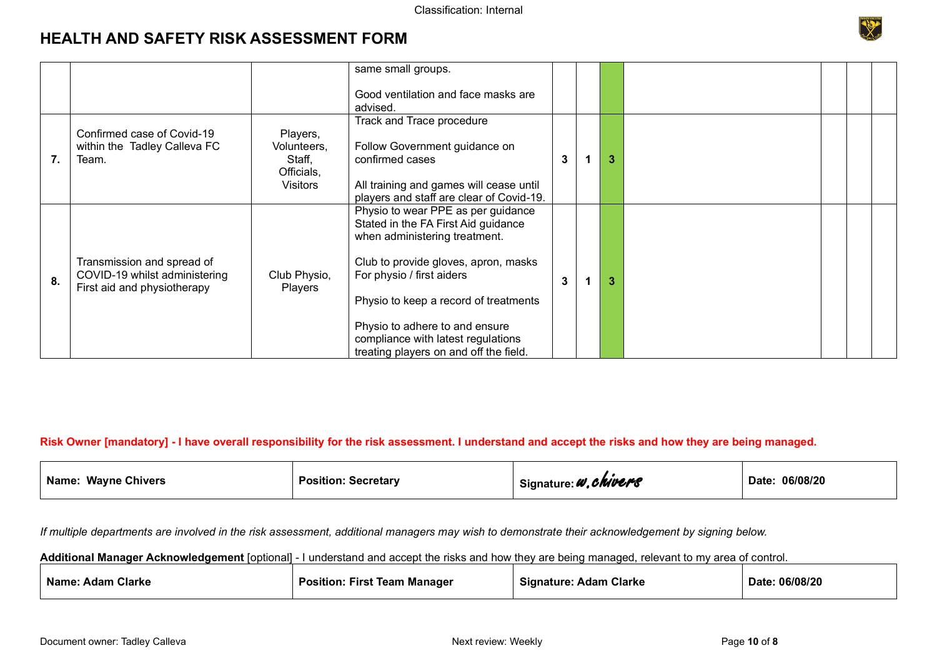|    |                                                                                            |                                                                    | same small groups.                                                                                                                                                                                                                                                                                                                         |   |   |  |  |
|----|--------------------------------------------------------------------------------------------|--------------------------------------------------------------------|--------------------------------------------------------------------------------------------------------------------------------------------------------------------------------------------------------------------------------------------------------------------------------------------------------------------------------------------|---|---|--|--|
|    |                                                                                            |                                                                    | Good ventilation and face masks are<br>advised.                                                                                                                                                                                                                                                                                            |   |   |  |  |
| 7. | Confirmed case of Covid-19<br>within the Tadley Calleva FC<br>Team.                        | Players,<br>Volunteers,<br>Staff,<br>Officials,<br><b>Visitors</b> | Track and Trace procedure<br>Follow Government guidance on<br>confirmed cases<br>All training and games will cease until<br>players and staff are clear of Covid-19.                                                                                                                                                                       | 3 | 3 |  |  |
| 8. | Transmission and spread of<br>COVID-19 whilst administering<br>First aid and physiotherapy | Club Physio,<br><b>Players</b>                                     | Physio to wear PPE as per guidance<br>Stated in the FA First Aid guidance<br>when administering treatment.<br>Club to provide gloves, apron, masks<br>For physio / first aiders<br>Physio to keep a record of treatments<br>Physio to adhere to and ensure<br>compliance with latest regulations<br>treating players on and off the field. | 3 | 3 |  |  |

#### **Risk Owner [mandatory] - I have overall responsibility for the risk assessment. I understand and accept the risks and how they are being managed.**

| Name.<br><b>Wayne Chivers</b> | <b>Position: Secretary</b> | .chivers<br>a a P<br>Signature: 4 | 06/08/20<br>Date: |
|-------------------------------|----------------------------|-----------------------------------|-------------------|
|-------------------------------|----------------------------|-----------------------------------|-------------------|

*If multiple departments are involved in the risk assessment, additional managers may wish to demonstrate their acknowledgement by signing below.* 

**Additional Manager Acknowledgement** [optional] - I understand and accept the risks and how they are being managed, relevant to my area of control.

| Name:<br><b>Adam Clarke</b> | . First<br>⊦Manaɑer<br><b>Position.</b><br>Team | Signature:<br><b>Clarke</b><br>Adam | :06/08/20<br>Date |
|-----------------------------|-------------------------------------------------|-------------------------------------|-------------------|
|-----------------------------|-------------------------------------------------|-------------------------------------|-------------------|

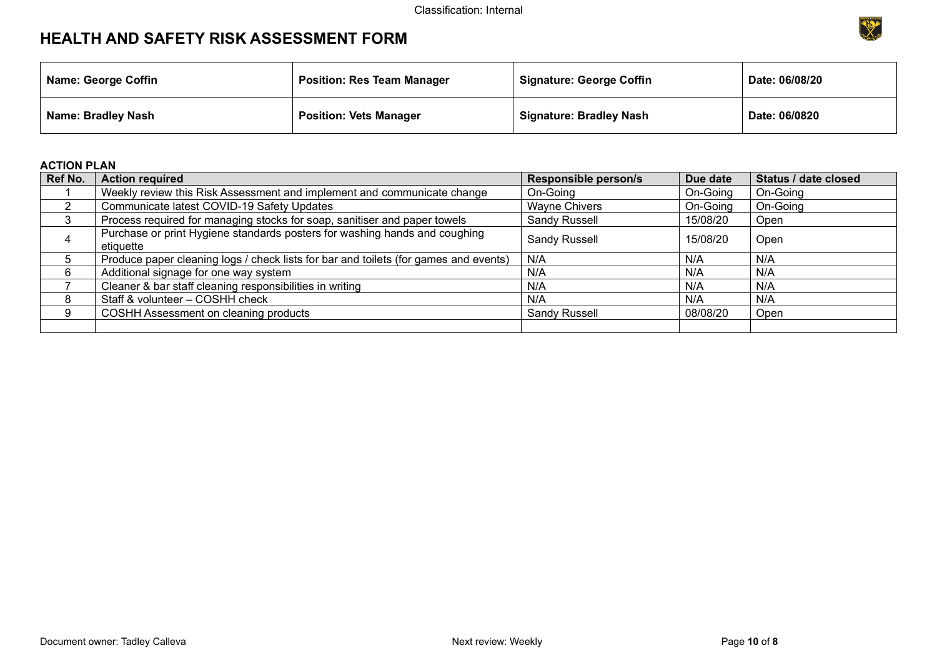

| <b>Name: George Coffin</b> | <b>Position: Res Team Manager</b> | <b>Signature: George Coffin</b> | Date: 06/08/20 |
|----------------------------|-----------------------------------|---------------------------------|----------------|
| Name: Bradley Nash         | <b>Position: Vets Manager</b>     | <b>Signature: Bradley Nash</b>  | Date: 06/0820  |

#### **ACTION PLAN**

| Ref No. | <b>Action required</b>                                                                  | <b>Responsible person/s</b> | Due date | Status / date closed |
|---------|-----------------------------------------------------------------------------------------|-----------------------------|----------|----------------------|
|         | Weekly review this Risk Assessment and implement and communicate change                 | On-Going                    | On-Going | On-Going             |
|         | Communicate latest COVID-19 Safety Updates                                              | <b>Wayne Chivers</b>        | On-Going | On-Going             |
|         | Process required for managing stocks for soap, sanitiser and paper towels               | Sandy Russell               | 15/08/20 | Open                 |
| 4       | Purchase or print Hygiene standards posters for washing hands and coughing<br>etiquette | Sandy Russell               | 15/08/20 | Open                 |
| 5       | Produce paper cleaning logs / check lists for bar and toilets (for games and events)    | N/A                         | N/A      | N/A                  |
| 6       | Additional signage for one way system                                                   | N/A                         | N/A      | N/A                  |
|         | Cleaner & bar staff cleaning responsibilities in writing                                | N/A                         | N/A      | N/A                  |
| 8       | Staff & volunteer - COSHH check                                                         | N/A                         | N/A      | N/A                  |
| g       | COSHH Assessment on cleaning products                                                   | Sandy Russell               | 08/08/20 | Open                 |
|         |                                                                                         |                             |          |                      |